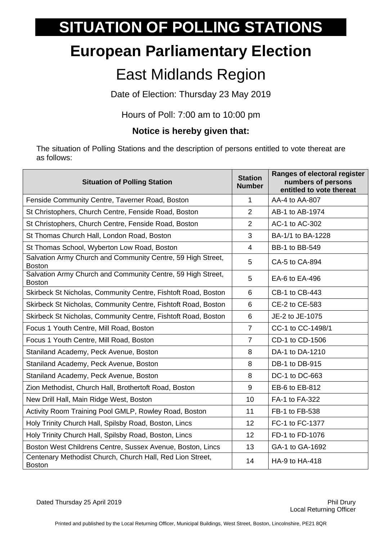## **SITUATION OF POLLING STATIONS**

## **European Parliamentary Election**

## East Midlands Region

Date of Election: Thursday 23 May 2019

Hours of Poll: 7:00 am to 10:00 pm

## **Notice is hereby given that:**

The situation of Polling Stations and the description of persons entitled to vote thereat are as follows:

| <b>Situation of Polling Station</b>                                          | <b>Station</b><br><b>Number</b> | Ranges of electoral register<br>numbers of persons<br>entitled to vote thereat |
|------------------------------------------------------------------------------|---------------------------------|--------------------------------------------------------------------------------|
| Fenside Community Centre, Taverner Road, Boston                              | 1                               | AA-4 to AA-807                                                                 |
| St Christophers, Church Centre, Fenside Road, Boston                         | $\overline{2}$                  | AB-1 to AB-1974                                                                |
| St Christophers, Church Centre, Fenside Road, Boston                         | $\overline{2}$                  | AC-1 to AC-302                                                                 |
| St Thomas Church Hall, London Road, Boston                                   | 3                               | BA-1/1 to BA-1228                                                              |
| St Thomas School, Wyberton Low Road, Boston                                  | $\overline{4}$                  | BB-1 to BB-549                                                                 |
| Salvation Army Church and Community Centre, 59 High Street,<br><b>Boston</b> | 5                               | CA-5 to CA-894                                                                 |
| Salvation Army Church and Community Centre, 59 High Street,<br><b>Boston</b> | 5                               | EA-6 to EA-496                                                                 |
| Skirbeck St Nicholas, Community Centre, Fishtoft Road, Boston                | 6                               | CB-1 to CB-443                                                                 |
| Skirbeck St Nicholas, Community Centre, Fishtoft Road, Boston                | 6                               | CE-2 to CE-583                                                                 |
| Skirbeck St Nicholas, Community Centre, Fishtoft Road, Boston                | 6                               | JE-2 to JE-1075                                                                |
| Focus 1 Youth Centre, Mill Road, Boston                                      | $\overline{7}$                  | CC-1 to CC-1498/1                                                              |
| Focus 1 Youth Centre, Mill Road, Boston                                      | $\overline{7}$                  | CD-1 to CD-1506                                                                |
| Staniland Academy, Peck Avenue, Boston                                       | 8                               | DA-1 to DA-1210                                                                |
| Staniland Academy, Peck Avenue, Boston                                       | 8                               | DB-1 to DB-915                                                                 |
| Staniland Academy, Peck Avenue, Boston                                       | 8                               | DC-1 to DC-663                                                                 |
| Zion Methodist, Church Hall, Brothertoft Road, Boston                        | 9                               | EB-6 to EB-812                                                                 |
| New Drill Hall, Main Ridge West, Boston                                      | 10                              | FA-1 to FA-322                                                                 |
| Activity Room Training Pool GMLP, Rowley Road, Boston                        | 11                              | FB-1 to FB-538                                                                 |
| Holy Trinity Church Hall, Spilsby Road, Boston, Lincs                        | 12                              | FC-1 to FC-1377                                                                |
| Holy Trinity Church Hall, Spilsby Road, Boston, Lincs                        | 12                              | FD-1 to FD-1076                                                                |
| Boston West Childrens Centre, Sussex Avenue, Boston, Lincs                   | 13                              | GA-1 to GA-1692                                                                |
| Centenary Methodist Church, Church Hall, Red Lion Street,<br><b>Boston</b>   | 14                              | HA-9 to HA-418                                                                 |

Dated Thursday 25 April 2019 Phil Drury Phil Drury Phil Drury Phil Drury Phil Drury Phil Drury Phil Drury Phil Drury

Local Returning Officer